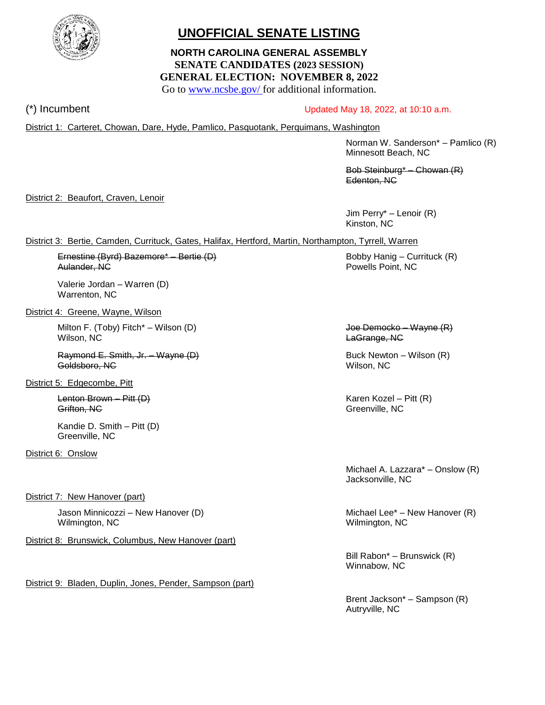

# **UNOFFICIAL SENATE LISTING**

# **NORTH CAROLINA GENERAL ASSEMBLY SENATE CANDIDATES (2023 SESSION) GENERAL ELECTION: NOVEMBER 8, 2022**

Go to [www.ncsbe.gov/](http://www.ncsbe.gov/) for additional information.

# $(*)$  Incumbent Updated May 18, 2022, at 10:10 a.m.

District 1: Carteret, Chowan, Dare, Hyde, Pamlico, Pasquotank, Perquimans, Washington

Norman W. Sanderson\* – Pamlico (R) Minnesott Beach, NC

Bob Steinburg\* – Chowan (R) Edenton, NC

District 2: Beaufort, Craven, Lenoir

Jim Perry\* – Lenoir (R) Kinston, NC

## District 3: Bertie, Camden, Currituck, Gates, Halifax, Hertford, Martin, Northampton, Tyrrell, Warren

Ernestine (Byrd) Bazemore\* – Bertie (D) Bobby Hanig – Currituck (R) Aulander, NC Powells Point, NC

Valerie Jordan – Warren (D) Warrenton, NC

District 4: Greene, Wayne, Wilson

Milton F. (Toby) Fitch<sup>\*</sup> – Wilson (D) and the state of the state of the United States **Joe Democko – Wayne (R)** Wilson, NC LaGrange, NC

Raymond E. Smith, Jr. – Wayne (D) Buck Newton – Wilson (R) Goldsboro, NC Wilson, NC

District 5: Edgecombe, Pitt

Lenton Brown – Pitt (D) and the control of the control of the Karen Kozel – Pitt (R) Grifton, NC Greenville, NC

Kandie D. Smith – Pitt (D) Greenville, NC

District 6: Onslow

District 7: New Hanover (part)

Jason Minnicozzi – New Hanover (D) Michael Lee\* – New Hanover (R) Wilmington, NC Wilmington, NC

District 8: Brunswick, Columbus, New Hanover (part)

District 9: Bladen, Duplin, Jones, Pender, Sampson (part)

Michael A. Lazzara\* – Onslow (R) Jacksonville, NC

Bill Rabon\* – Brunswick (R) Winnabow, NC

Brent Jackson\* – Sampson (R) Autryville, NC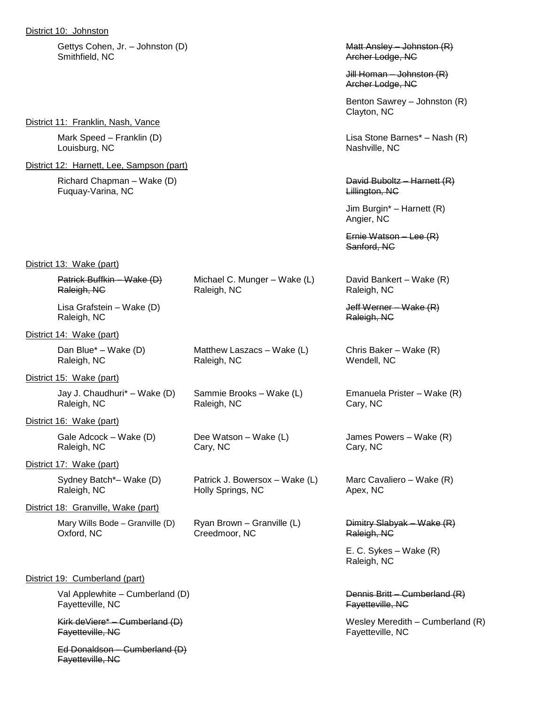District 10: Johnston

Gettys Cohen, Jr. – Johnston (D) and the control of the Matt Ansley – Johnston (R) Smithfield, NC Archer Lodge, NC

District 11: Franklin, Nash, Vance

Louisburg, NC Nashville, NC

District 12: Harnett, Lee, Sampson (part)

Fuquay-Varina, NC **Lillington, NC** 

District 13: Wake (part)

| Patrick Buffkin Wake (D) |  |
|--------------------------|--|
| Raleigh, NC              |  |
|                          |  |

Raleigh, NC **Raleigh, NC** Raleigh, NC

District 14: Wake (part)

Raleigh, NC Raleigh, NC Wendell, NC

District 15: Wake (part)

Jay J. Chaudhuri\* – Wake (D) Sammie Brooks – Wake (L) Emanuela Prister – Wake (R) Raleigh, NC Raleigh, NC Cary, NC

District 16: Wake (part)

Raleigh, NC Cary, NC Cary, NC Cary, NC Cary, NC

District 17: Wake (part)

Raleigh, NC **Holly Springs, NC** Apex, NC

District 18: Granville, Wake (part)

Oxford, NC Creedmoor, NC Raleigh, NC

Mary Wills Bode – Granville (D) Ryan Brown – Granville (L) Dimitry Slabyak – Wake  $(R)$ 

#### District 19: Cumberland (part)

Val Applewhite – Cumberland (D) Dennis Britt – Cumberland (R) Fayetteville, NC Fayetteville, NC

Ed Donaldson – Cumberland (D) Fayetteville, NC

Jill Homan – Johnston (R) Archer Lodge, NC

Benton Sawrey – Johnston (R) Clayton, NC

Mark Speed – Franklin (D) Lisa Stone Barnes\* – Nash (R)

Richard Chapman – Wake (D) David Buboltz – Harnett (R)

Jim Burgin\* – Harnett (R) Angier, NC

Ernie Watson – Lee (R) Sanford, NC

Michael C. Munger – Wake (L) David Bankert – Wake (R) Raleigh, NC **Raleigh, NC** Raleigh, NC

Lisa Grafstein – Wake (D) and Jeff Werner – Wake (R)

Dan Blue\* – Wake (D) Matthew Laszacs – Wake (L) Chris Baker – Wake (R)

Gale Adcock – Wake (D) Dee Watson – Wake (L) James Powers – Wake (R)

Sydney Batch\*– Wake (D) Patrick J. Bowersox – Wake (L) Marc Cavaliero – Wake (R)

E. C. Sykes – Wake (R) Raleigh, NC

Kirk deViere\* – Cumberland (D)  $\overline{P}$  (D)  $\overline{P}$  (Nesley Meredith – Cumberland (R) Fayetteville, NC Fayetteville, NC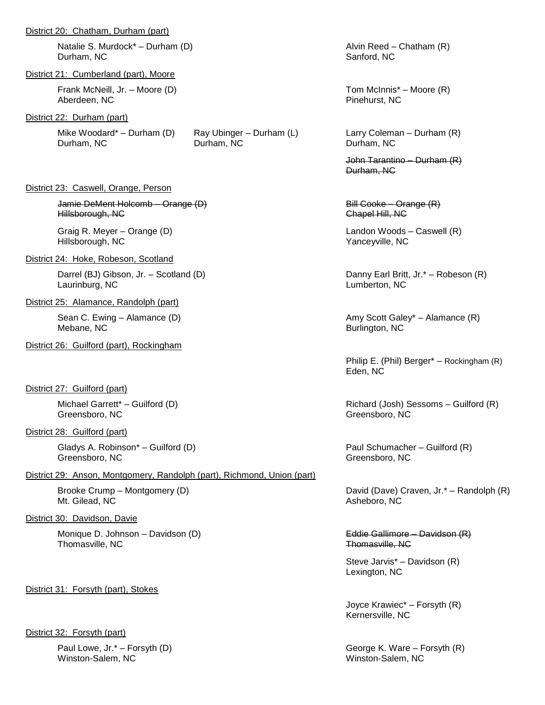#### District 20: Chatham, Durham (part)

Natalie S. Murdock\* – Durham (D) Alvin Reed – Chatham (R) Durham, NC Sanford, NC

#### District 21: Cumberland (part), Moore

Frank McNeill, Jr. – Moore (D) Tom McInnis\* – Moore (R) Aberdeen, NC Pinehurst, NC

#### District 22: Durham (part)

Durham, NC Durham, NC Durham, NC

#### District 23: Caswell, Orange, Person

Jamie DeMent Holcomb – Orange (D) Bill Cooke – Orange (R) Bill Cooke – Orange (R) **Hillsborough, NC** Chapel Hill, NC

Graig R. Meyer – Orange (D) and the control of the Landon Woods – Caswell (R) and the control of the control of the control of the control of the control of the control of the control of the control of the control of the c Hillsborough, NC Yanceyville, NC

### District 24: Hoke, Robeson, Scotland

Darrel (BJ) Gibson, Jr. – Scotland (D) Danny Earl Britt, Jr.\* – Robeson (R) Laurinburg, NC Lumberton, NC

#### District 25: Alamance, Randolph (part)

Mebane, NC Burlington, NC Burlington, NC Burlington, NC

#### District 26: Guilford (part), Rockingham

District 27: Guilford (part)

Greensboro, NC Greensboro, NC Greensboro, NC

#### District 28: Guilford (part)

Gladys A. Robinson\* – Guilford (D) example a part of the Paul Schumacher – Guilford (R) Greensboro, NC Greensboro, NC

#### District 29: Anson, Montgomery, Randolph (part), Richmond, Union (part)

Mt. Gilead, NC Asheboro, NC

#### District 30: Davidson, Davie

Monique D. Johnson – Davidson (D) entitled and the Sallimore – Davidson (R) Eddie Gallimore – Davidson (R) Thomasville, NC Thomasville, NC

#### District 31: Forsyth (part), Stokes

#### District 32: Forsyth (part)

Winston-Salem, NC Winston-Salem, NC

Mike Woodard\* – Durham (D) Ray Ubinger – Durham (L) Larry Coleman – Durham (R)<br>Durham, NC Durham, NC Durham, NC Durham, NC

John Tarantino – Durham (R) Durham, NC

Sean C. Ewing – Alamance (D) Amy Scott Galey\* – Alamance (R)

Philip E. (Phil) Berger\* – Rockingham (R) Eden, NC

Michael Garrett\* – Guilford (D) Richard (Josh) Sessoms – Guilford (R)

Brooke Crump – Montgomery (D) and Cavel Craven, Jr.\* – Randolph (R) David (Dave) Craven, Jr.\* – Randolph (R)

Steve Jarvis\* – Davidson (R) Lexington, NC

Joyce Krawiec\* – Forsyth (R) Kernersville, NC

Paul Lowe, Jr.\* – Forsyth (D) George K. Ware – Forsyth (R)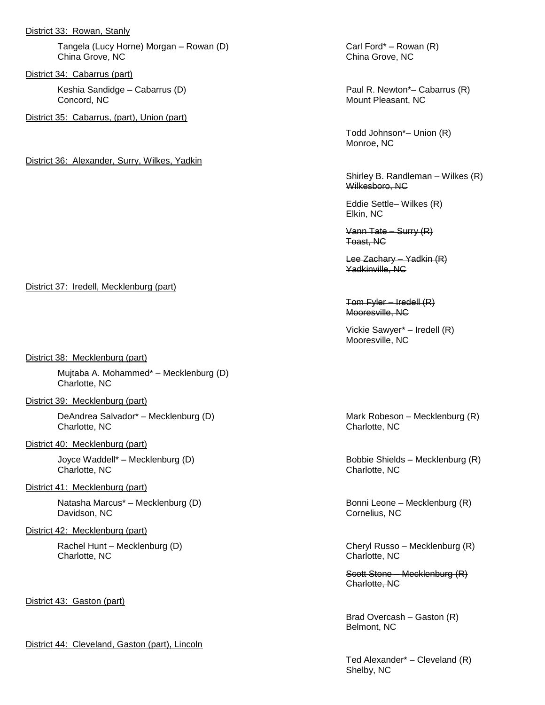#### District 33: Rowan, Stanly

Tangela (Lucy Horne) Morgan – Rowan (D) Carl Ford\* – Rowan (R) China Grove, NC China Grove, NC

District 34: Cabarrus (part)

Keshia Sandidge – Cabarrus (D) Paul R. Newton\*– Cabarrus (R) **Concord, NC** Mount Pleasant, NC

District 35: Cabarrus, (part), Union (part)

District 36: Alexander, Surry, Wilkes, Yadkin

Todd Johnson\*– Union (R) Monroe, NC

Shirley B. Randleman – Wilkes (R) Wilkesboro, NC

Eddie Settle– Wilkes (R) Elkin, NC

Vann Tate – Surry (R) Toast, NC

Lee Zachary – Yadkin (R) Yadkinville, NC

Tom Fyler – Iredell (R) Mooresville, NC

Vickie Sawyer\* – Iredell (R) Mooresville, NC

Charlotte, NC

Rachel Hunt – Mecklenburg (D) and Cheryl Russo – Mecklenburg (R)

Scott Stone – Mecklenburg (R) Charlotte, NC

Brad Overcash – Gaston (R) Belmont, NC

Ted Alexander\* – Cleveland (R) Shelby, NC

#### District 37: Iredell, Mecklenburg (part)

District 38: Mecklenburg (part)

Mujtaba A. Mohammed\* – Mecklenburg (D) Charlotte, NC

### District 39: Mecklenburg (part)

DeAndrea Salvador\* – Mecklenburg (D) Mark Robeson – Mecklenburg (R) Charlotte, NC Charlotte, NC

#### District 40: Mecklenburg (part)

Joyce Waddell\* – Mecklenburg (D) and the Shields – Mecklenburg (R) and Bobbie Shields – Mecklenburg (R) and Charlotte, NC

#### District 41: Mecklenburg (part)

Natasha Marcus<sup>\*</sup> – Mecklenburg (D) and Bonni Leone – Mecklenburg (R) Davidson, NC Cornelius, NC Cornelius, NC

#### District 42: Mecklenburg (part)

Charlotte, NC Charlotte, NC

District 43: Gaston (part)

## District 44: Cleveland, Gaston (part), Lincoln